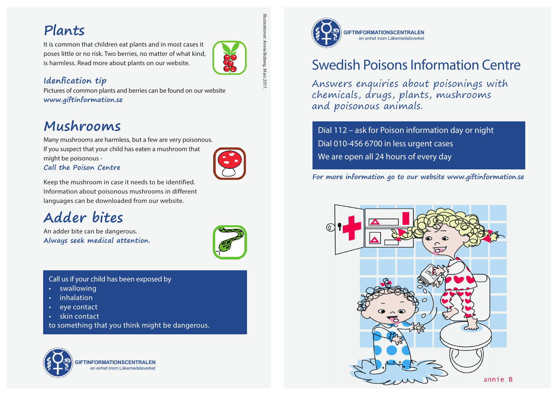It is common that children eat plants and in most cases it poses little or no risk. Two berries, no matter of what kind, is harmless. Read more about plants on our website.



Illustrationer: Annie Boberg. Mars 2017.

Annie Boberg. Mars 2017

### **Idenfication tip**

Pictures of common plants and berries can be found on our website **www.giftinformation.se**

## **Mushrooms**

Many mushrooms are harmless, but a few are very poisonous. If you suspect that your child has eaten a mushroom that might be poisonous -



### **Call the Poison Centre**

Keep the mushroom in case it needs to be identified. Information about poisonous mushrooms in different languages can be downloaded from our website.

# **Adder bites**

An adder bite can be dangerous. **Always seek medical attention.**



Call us if your child has been exposed by

- **swallowing**
- inhalation
- eye contact
- skin contact

to something that you think might be dangerous.



**FINFORMATIONSCENT** en enhet inom Läkemede



# Swedish Poisons Information Centre

Answers enquiries about poisonings with chemicals, drugs, plants, mushrooms and poisonous animals.

Dial 112 – ask for Poison information day or night Dial 010-456 6700 in less urgent cases We are open all 24 hours of every day

**For more information go to our website www.giftinformation.se**